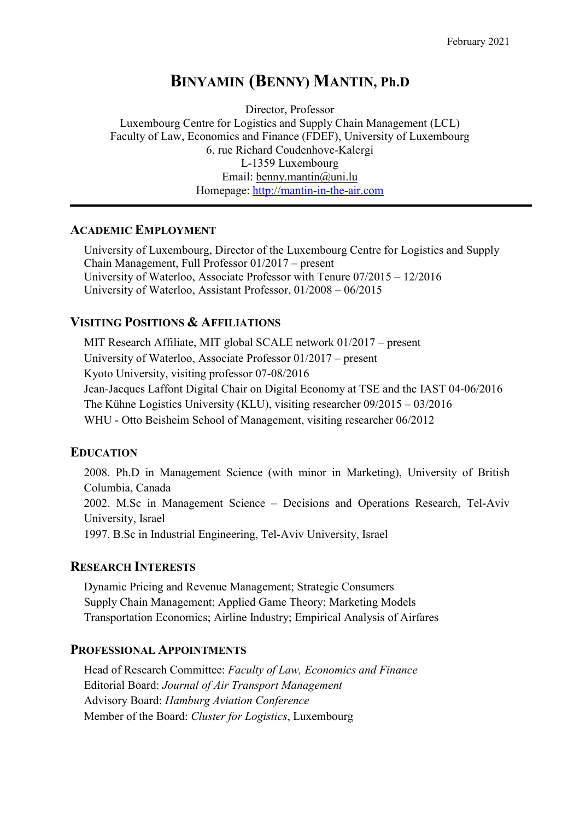# BINYAMIN (BENNY) MANTIN, Ph.D

Director, Professor Luxembourg Centre for Logistics and Supply Chain Management (LCL) Faculty of Law, Economics and Finance (FDEF), University of Luxembourg 6, rue Richard Coudenhove-Kalergi L-1359 Luxembourg Email: benny.mantin@uni.lu Homepage: http://mantin-in-the-air.com

#### ACADEMIC EMPLOYMENT

University of Luxembourg, Director of the Luxembourg Centre for Logistics and Supply Chain Management, Full Professor 01/2017 – present University of Waterloo, Associate Professor with Tenure 07/2015 – 12/2016 University of Waterloo, Assistant Professor, 01/2008 – 06/2015

# VISITING POSITIONS & AFFILIATIONS

MIT Research Affiliate, MIT global SCALE network 01/2017 – present University of Waterloo, Associate Professor 01/2017 – present Kyoto University, visiting professor 07-08/2016 Jean-Jacques Laffont Digital Chair on Digital Economy at TSE and the IAST 04-06/2016 The Kühne Logistics University (KLU), visiting researcher 09/2015 – 03/2016 WHU - Otto Beisheim School of Management, visiting researcher 06/2012

# EDUCATION

2008. Ph.D in Management Science (with minor in Marketing), University of British Columbia, Canada 2002. M.Sc in Management Science – Decisions and Operations Research, Tel-Aviv University, Israel 1997. B.Sc in Industrial Engineering, Tel-Aviv University, Israel

# RESEARCH INTERESTS

Dynamic Pricing and Revenue Management; Strategic Consumers Supply Chain Management; Applied Game Theory; Marketing Models Transportation Economics; Airline Industry; Empirical Analysis of Airfares

# PROFESSIONAL APPOINTMENTS

Head of Research Committee: Faculty of Law, Economics and Finance Editorial Board: Journal of Air Transport Management Advisory Board: Hamburg Aviation Conference Member of the Board: Cluster for Logistics, Luxembourg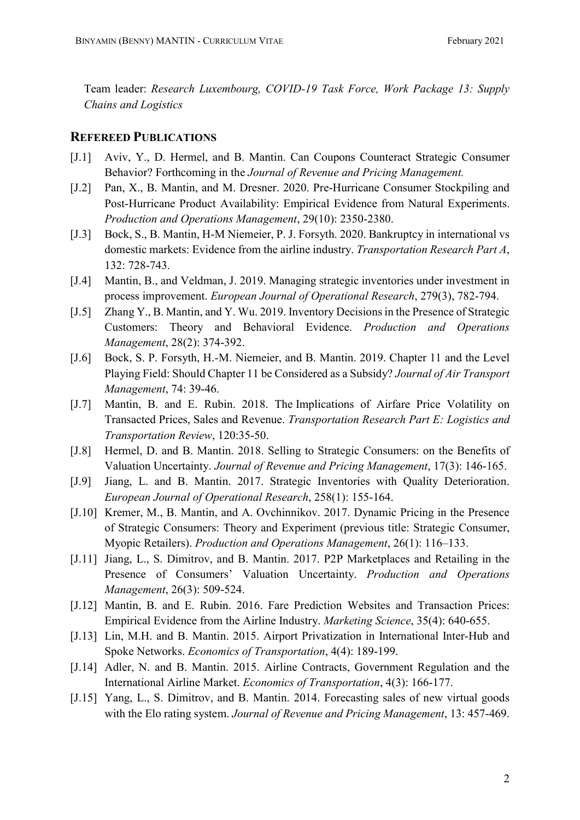Team leader: Research Luxembourg, COVID-19 Task Force, Work Package 13: Supply Chains and Logistics

#### REFEREED PUBLICATIONS

- [J.1] Aviv, Y., D. Hermel, and B. Mantin. Can Coupons Counteract Strategic Consumer Behavior? Forthcoming in the Journal of Revenue and Pricing Management.
- [J.2] Pan, X., B. Mantin, and M. Dresner. 2020. Pre-Hurricane Consumer Stockpiling and Post-Hurricane Product Availability: Empirical Evidence from Natural Experiments. Production and Operations Management, 29(10): 2350-2380.
- [J.3] Bock, S., B. Mantin, H-M Niemeier, P. J. Forsyth. 2020. Bankruptcy in international vs domestic markets: Evidence from the airline industry. Transportation Research Part A, 132: 728-743.
- [J.4] Mantin, B., and Veldman, J. 2019. Managing strategic inventories under investment in process improvement. European Journal of Operational Research, 279(3), 782-794.
- [J.5] Zhang Y., B. Mantin, and Y. Wu. 2019. Inventory Decisions in the Presence of Strategic Customers: Theory and Behavioral Evidence. Production and Operations Management, 28(2): 374-392.
- [J.6] Bock, S. P. Forsyth, H.-M. Niemeier, and B. Mantin. 2019. Chapter 11 and the Level Playing Field: Should Chapter 11 be Considered as a Subsidy? Journal of Air Transport Management, 74: 39-46.
- [J.7] Mantin, B. and E. Rubin. 2018. The Implications of Airfare Price Volatility on Transacted Prices, Sales and Revenue. Transportation Research Part E: Logistics and Transportation Review, 120:35-50.
- [J.8] Hermel, D. and B. Mantin. 2018. Selling to Strategic Consumers: on the Benefits of Valuation Uncertainty. Journal of Revenue and Pricing Management, 17(3): 146-165.
- [J.9] Jiang, L. and B. Mantin. 2017. Strategic Inventories with Quality Deterioration. European Journal of Operational Research, 258(1): 155-164.
- [J.10] Kremer, M., B. Mantin, and A. Ovchinnikov. 2017. Dynamic Pricing in the Presence of Strategic Consumers: Theory and Experiment (previous title: Strategic Consumer, Myopic Retailers). Production and Operations Management, 26(1): 116–133.
- [J.11] Jiang, L., S. Dimitrov, and B. Mantin. 2017. P2P Marketplaces and Retailing in the Presence of Consumers' Valuation Uncertainty. Production and Operations Management, 26(3): 509-524.
- [J.12] Mantin, B. and E. Rubin. 2016. Fare Prediction Websites and Transaction Prices: Empirical Evidence from the Airline Industry. Marketing Science, 35(4): 640-655.
- [J.13] Lin, M.H. and B. Mantin. 2015. Airport Privatization in International Inter-Hub and Spoke Networks. Economics of Transportation, 4(4): 189-199.
- [J.14] Adler, N. and B. Mantin. 2015. Airline Contracts, Government Regulation and the International Airline Market. Economics of Transportation, 4(3): 166-177.
- [J.15] Yang, L., S. Dimitrov, and B. Mantin. 2014. Forecasting sales of new virtual goods with the Elo rating system. Journal of Revenue and Pricing Management, 13: 457-469.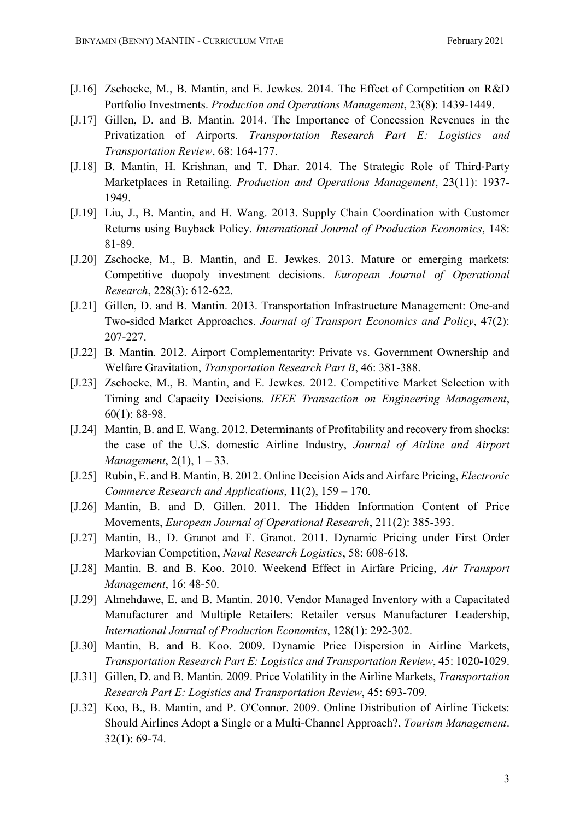- [J.16] Zschocke, M., B. Mantin, and E. Jewkes. 2014. The Effect of Competition on R&D Portfolio Investments. Production and Operations Management, 23(8): 1439-1449.
- [J.17] Gillen, D. and B. Mantin. 2014. The Importance of Concession Revenues in the Privatization of Airports. Transportation Research Part E: Logistics and Transportation Review, 68: 164-177.
- [J.18] B. Mantin, H. Krishnan, and T. Dhar. 2014. The Strategic Role of Third‐Party Marketplaces in Retailing. Production and Operations Management, 23(11): 1937- 1949.
- [J.19] Liu, J., B. Mantin, and H. Wang. 2013. Supply Chain Coordination with Customer Returns using Buyback Policy. International Journal of Production Economics, 148: 81-89.
- [J.20] Zschocke, M., B. Mantin, and E. Jewkes. 2013. Mature or emerging markets: Competitive duopoly investment decisions. European Journal of Operational Research, 228(3): 612-622.
- [J.21] Gillen, D. and B. Mantin. 2013. Transportation Infrastructure Management: One-and Two-sided Market Approaches. Journal of Transport Economics and Policy, 47(2): 207-227.
- [J.22] B. Mantin. 2012. Airport Complementarity: Private vs. Government Ownership and Welfare Gravitation, Transportation Research Part B, 46: 381-388.
- [J.23] Zschocke, M., B. Mantin, and E. Jewkes. 2012. Competitive Market Selection with Timing and Capacity Decisions. IEEE Transaction on Engineering Management, 60(1): 88-98.
- [J.24] Mantin, B. and E. Wang. 2012. Determinants of Profitability and recovery from shocks: the case of the U.S. domestic Airline Industry, Journal of Airline and Airport *Management*,  $2(1)$ ,  $1 - 33$ .
- [J.25] Rubin, E. and B. Mantin, B. 2012. Online Decision Aids and Airfare Pricing, *Electronic* Commerce Research and Applications, 11(2), 159 – 170.
- [J.26] Mantin, B. and D. Gillen. 2011. The Hidden Information Content of Price Movements, European Journal of Operational Research, 211(2): 385-393.
- [J.27] Mantin, B., D. Granot and F. Granot. 2011. Dynamic Pricing under First Order Markovian Competition, Naval Research Logistics, 58: 608-618.
- [J.28] Mantin, B. and B. Koo. 2010. Weekend Effect in Airfare Pricing, Air Transport Management, 16: 48-50.
- [J.29] Almehdawe, E. and B. Mantin. 2010. Vendor Managed Inventory with a Capacitated Manufacturer and Multiple Retailers: Retailer versus Manufacturer Leadership, International Journal of Production Economics, 128(1): 292-302.
- [J.30] Mantin, B. and B. Koo. 2009. Dynamic Price Dispersion in Airline Markets, Transportation Research Part E: Logistics and Transportation Review, 45: 1020-1029.
- [J.31] Gillen, D. and B. Mantin. 2009. Price Volatility in the Airline Markets, *Transportation* Research Part E: Logistics and Transportation Review, 45: 693-709.
- [J.32] Koo, B., B. Mantin, and P. O'Connor. 2009. Online Distribution of Airline Tickets: Should Airlines Adopt a Single or a Multi-Channel Approach?, Tourism Management. 32(1): 69-74.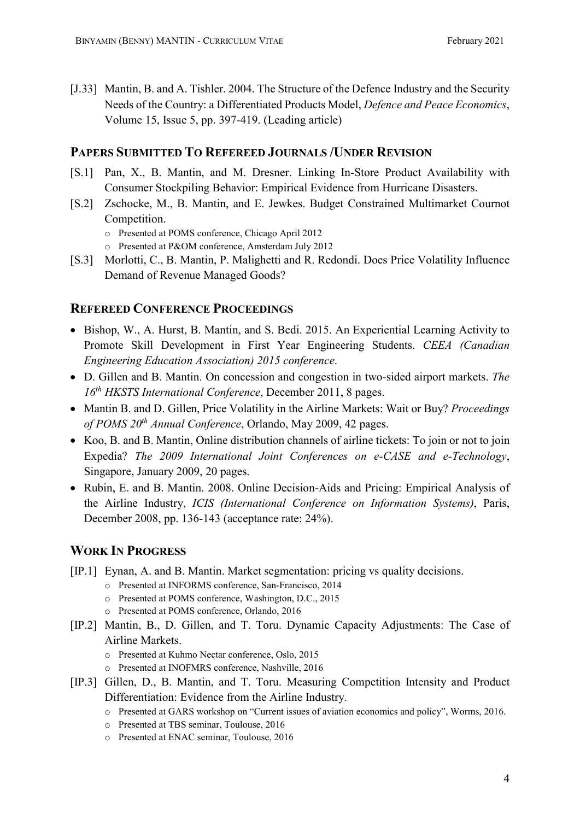[J.33] Mantin, B. and A. Tishler. 2004. The Structure of the Defence Industry and the Security Needs of the Country: a Differentiated Products Model, Defence and Peace Economics, Volume 15, Issue 5, pp. 397-419. (Leading article)

# PAPERS SUBMITTED TO REFEREED JOURNALS /UNDER REVISION

- [S.1] Pan, X., B. Mantin, and M. Dresner. Linking In-Store Product Availability with Consumer Stockpiling Behavior: Empirical Evidence from Hurricane Disasters.
- [S.2] Zschocke, M., B. Mantin, and E. Jewkes. Budget Constrained Multimarket Cournot Competition.
	- o Presented at POMS conference, Chicago April 2012
	- o Presented at P&OM conference, Amsterdam July 2012
- [S.3] Morlotti, C., B. Mantin, P. Malighetti and R. Redondi. Does Price Volatility Influence Demand of Revenue Managed Goods?

# REFEREED CONFERENCE PROCEEDINGS

- Bishop, W., A. Hurst, B. Mantin, and S. Bedi. 2015. An Experiential Learning Activity to Promote Skill Development in First Year Engineering Students. CEEA (Canadian Engineering Education Association) 2015 conference.
- D. Gillen and B. Mantin. On concession and congestion in two-sided airport markets. The  $16<sup>th</sup> HKSTS International Conference, December 2011, 8 pages.$
- Mantin B. and D. Gillen, Price Volatility in the Airline Markets: Wait or Buy? Proceedings of POMS  $20^{th}$  Annual Conference, Orlando, May 2009, 42 pages.
- Koo, B. and B. Mantin, Online distribution channels of airline tickets: To join or not to join Expedia? The 2009 International Joint Conferences on e-CASE and e-Technology, Singapore, January 2009, 20 pages.
- Rubin, E. and B. Mantin. 2008. Online Decision-Aids and Pricing: Empirical Analysis of the Airline Industry, ICIS (International Conference on Information Systems), Paris, December 2008, pp. 136-143 (acceptance rate: 24%).

# WORK IN PROGRESS

- [IP.1] Eynan, A. and B. Mantin. Market segmentation: pricing vs quality decisions.
	- o Presented at INFORMS conference, San-Francisco, 2014
	- o Presented at POMS conference, Washington, D.C., 2015
	- o Presented at POMS conference, Orlando, 2016
- [IP.2] Mantin, B., D. Gillen, and T. Toru. Dynamic Capacity Adjustments: The Case of Airline Markets.
	- o Presented at Kuhmo Nectar conference, Oslo, 2015
	- o Presented at INOFMRS conference, Nashville, 2016
- [IP.3] Gillen, D., B. Mantin, and T. Toru. Measuring Competition Intensity and Product Differentiation: Evidence from the Airline Industry.
	- o Presented at GARS workshop on "Current issues of aviation economics and policy", Worms, 2016.
	- o Presented at TBS seminar, Toulouse, 2016
	- o Presented at ENAC seminar, Toulouse, 2016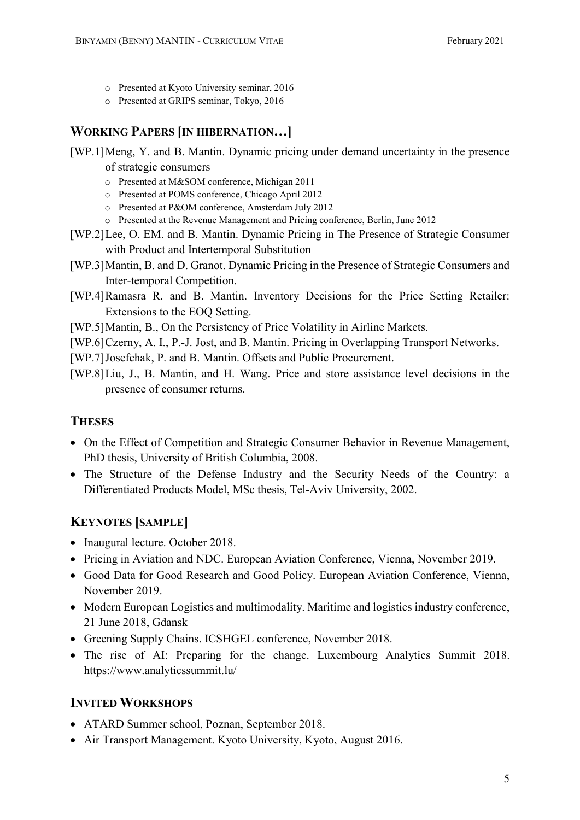- o Presented at Kyoto University seminar, 2016
- o Presented at GRIPS seminar, Tokyo, 2016

# WORKING PAPERS [IN HIBERNATION…]

- [WP.1]Meng, Y. and B. Mantin. Dynamic pricing under demand uncertainty in the presence of strategic consumers
	- o Presented at M&SOM conference, Michigan 2011
	- o Presented at POMS conference, Chicago April 2012
	- o Presented at P&OM conference, Amsterdam July 2012
	- o Presented at the Revenue Management and Pricing conference, Berlin, June 2012
- [WP.2]Lee, O. EM. and B. Mantin. Dynamic Pricing in The Presence of Strategic Consumer with Product and Intertemporal Substitution
- [WP.3]Mantin, B. and D. Granot. Dynamic Pricing in the Presence of Strategic Consumers and Inter-temporal Competition.
- [WP.4]Ramasra R. and B. Mantin. Inventory Decisions for the Price Setting Retailer: Extensions to the EOQ Setting.
- [WP.5]Mantin, B., On the Persistency of Price Volatility in Airline Markets.
- [WP.6]Czerny, A. I., P.-J. Jost, and B. Mantin. Pricing in Overlapping Transport Networks.
- [WP.7]Josefchak, P. and B. Mantin. Offsets and Public Procurement.
- [WP.8]Liu, J., B. Mantin, and H. Wang. Price and store assistance level decisions in the presence of consumer returns.

# **THESES**

- On the Effect of Competition and Strategic Consumer Behavior in Revenue Management, PhD thesis, University of British Columbia, 2008.
- The Structure of the Defense Industry and the Security Needs of the Country: a Differentiated Products Model, MSc thesis, Tel-Aviv University, 2002.

# KEYNOTES [SAMPLE]

- Inaugural lecture. October 2018.
- Pricing in Aviation and NDC. European Aviation Conference, Vienna, November 2019.
- Good Data for Good Research and Good Policy. European Aviation Conference, Vienna, November 2019.
- Modern European Logistics and multimodality. Maritime and logistics industry conference, 21 June 2018, Gdansk
- Greening Supply Chains. ICSHGEL conference, November 2018.
- The rise of AI: Preparing for the change. Luxembourg Analytics Summit 2018. https://www.analyticssummit.lu/

# INVITED WORKSHOPS

- ATARD Summer school, Poznan, September 2018.
- Air Transport Management. Kyoto University, Kyoto, August 2016.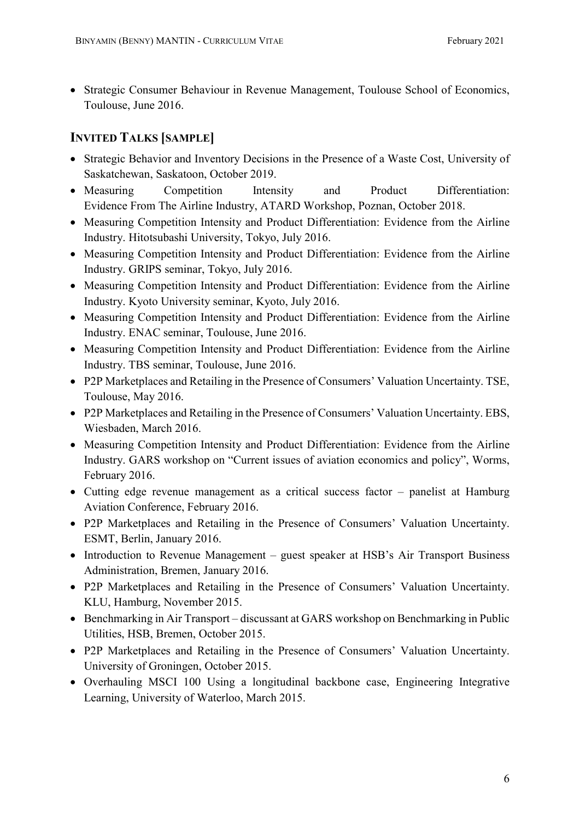Strategic Consumer Behaviour in Revenue Management, Toulouse School of Economics, Toulouse, June 2016.

# INVITED TALKS [SAMPLE]

- Strategic Behavior and Inventory Decisions in the Presence of a Waste Cost, University of Saskatchewan, Saskatoon, October 2019.
- Measuring Competition Intensity and Product Differentiation: Evidence From The Airline Industry, ATARD Workshop, Poznan, October 2018.
- Measuring Competition Intensity and Product Differentiation: Evidence from the Airline Industry. Hitotsubashi University, Tokyo, July 2016.
- Measuring Competition Intensity and Product Differentiation: Evidence from the Airline Industry. GRIPS seminar, Tokyo, July 2016.
- Measuring Competition Intensity and Product Differentiation: Evidence from the Airline Industry. Kyoto University seminar, Kyoto, July 2016.
- Measuring Competition Intensity and Product Differentiation: Evidence from the Airline Industry. ENAC seminar, Toulouse, June 2016.
- Measuring Competition Intensity and Product Differentiation: Evidence from the Airline Industry. TBS seminar, Toulouse, June 2016.
- P2P Marketplaces and Retailing in the Presence of Consumers' Valuation Uncertainty. TSE, Toulouse, May 2016.
- P2P Marketplaces and Retailing in the Presence of Consumers' Valuation Uncertainty. EBS, Wiesbaden, March 2016.
- Measuring Competition Intensity and Product Differentiation: Evidence from the Airline Industry. GARS workshop on "Current issues of aviation economics and policy", Worms, February 2016.
- Cutting edge revenue management as a critical success factor panelist at Hamburg Aviation Conference, February 2016.
- P2P Marketplaces and Retailing in the Presence of Consumers' Valuation Uncertainty. ESMT, Berlin, January 2016.
- Introduction to Revenue Management guest speaker at HSB's Air Transport Business Administration, Bremen, January 2016.
- P2P Marketplaces and Retailing in the Presence of Consumers' Valuation Uncertainty. KLU, Hamburg, November 2015.
- Benchmarking in Air Transport discussant at GARS workshop on Benchmarking in Public Utilities, HSB, Bremen, October 2015.
- P2P Marketplaces and Retailing in the Presence of Consumers' Valuation Uncertainty. University of Groningen, October 2015.
- Overhauling MSCI 100 Using a longitudinal backbone case, Engineering Integrative Learning, University of Waterloo, March 2015.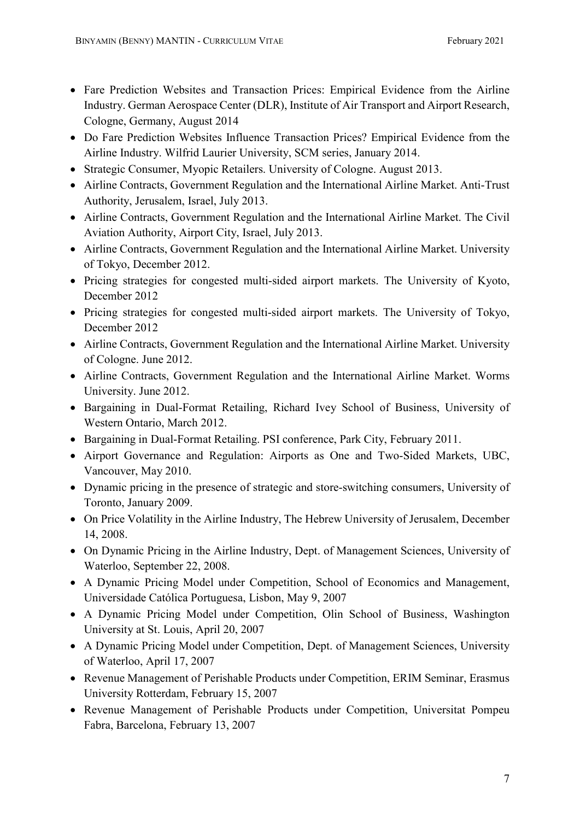- Fare Prediction Websites and Transaction Prices: Empirical Evidence from the Airline Industry. German Aerospace Center (DLR), Institute of Air Transport and Airport Research, Cologne, Germany, August 2014
- Do Fare Prediction Websites Influence Transaction Prices? Empirical Evidence from the Airline Industry. Wilfrid Laurier University, SCM series, January 2014.
- Strategic Consumer, Myopic Retailers. University of Cologne. August 2013.
- Airline Contracts, Government Regulation and the International Airline Market. Anti-Trust Authority, Jerusalem, Israel, July 2013.
- Airline Contracts, Government Regulation and the International Airline Market. The Civil Aviation Authority, Airport City, Israel, July 2013.
- Airline Contracts, Government Regulation and the International Airline Market. University of Tokyo, December 2012.
- Pricing strategies for congested multi-sided airport markets. The University of Kyoto, December 2012
- Pricing strategies for congested multi-sided airport markets. The University of Tokyo, December 2012
- Airline Contracts, Government Regulation and the International Airline Market. University of Cologne. June 2012.
- Airline Contracts, Government Regulation and the International Airline Market. Worms University. June 2012.
- Bargaining in Dual-Format Retailing, Richard Ivey School of Business, University of Western Ontario, March 2012.
- Bargaining in Dual-Format Retailing. PSI conference, Park City, February 2011.
- Airport Governance and Regulation: Airports as One and Two-Sided Markets, UBC, Vancouver, May 2010.
- Dynamic pricing in the presence of strategic and store-switching consumers, University of Toronto, January 2009.
- On Price Volatility in the Airline Industry, The Hebrew University of Jerusalem, December 14, 2008.
- On Dynamic Pricing in the Airline Industry, Dept. of Management Sciences, University of Waterloo, September 22, 2008.
- A Dynamic Pricing Model under Competition, School of Economics and Management, Universidade Católica Portuguesa, Lisbon, May 9, 2007
- A Dynamic Pricing Model under Competition, Olin School of Business, Washington University at St. Louis, April 20, 2007
- A Dynamic Pricing Model under Competition, Dept. of Management Sciences, University of Waterloo, April 17, 2007
- Revenue Management of Perishable Products under Competition, ERIM Seminar, Erasmus University Rotterdam, February 15, 2007
- Revenue Management of Perishable Products under Competition, Universitat Pompeu Fabra, Barcelona, February 13, 2007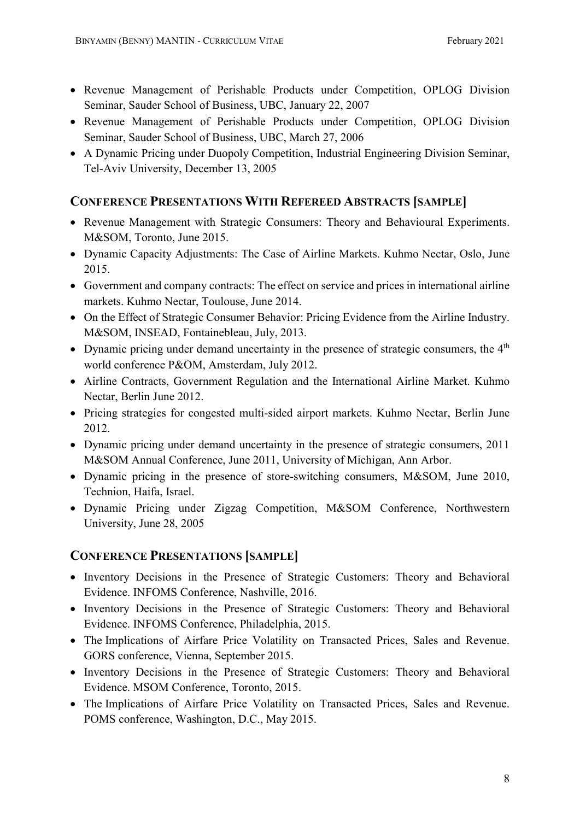- Revenue Management of Perishable Products under Competition, OPLOG Division Seminar, Sauder School of Business, UBC, January 22, 2007
- Revenue Management of Perishable Products under Competition, OPLOG Division Seminar, Sauder School of Business, UBC, March 27, 2006
- A Dynamic Pricing under Duopoly Competition, Industrial Engineering Division Seminar, Tel-Aviv University, December 13, 2005

# CONFERENCE PRESENTATIONS WITH REFEREED ABSTRACTS [SAMPLE]

- Revenue Management with Strategic Consumers: Theory and Behavioural Experiments. M&SOM, Toronto, June 2015.
- Dynamic Capacity Adjustments: The Case of Airline Markets. Kuhmo Nectar, Oslo, June 2015.
- Government and company contracts: The effect on service and prices in international airline markets. Kuhmo Nectar, Toulouse, June 2014.
- On the Effect of Strategic Consumer Behavior: Pricing Evidence from the Airline Industry. M&SOM, INSEAD, Fontainebleau, July, 2013.
- Dynamic pricing under demand uncertainty in the presence of strategic consumers, the  $4<sup>th</sup>$ world conference P&OM, Amsterdam, July 2012.
- Airline Contracts, Government Regulation and the International Airline Market. Kuhmo Nectar, Berlin June 2012.
- Pricing strategies for congested multi-sided airport markets. Kuhmo Nectar, Berlin June 2012.
- Dynamic pricing under demand uncertainty in the presence of strategic consumers, 2011 M&SOM Annual Conference, June 2011, University of Michigan, Ann Arbor.
- Dynamic pricing in the presence of store-switching consumers, M&SOM, June 2010, Technion, Haifa, Israel.
- Dynamic Pricing under Zigzag Competition, M&SOM Conference, Northwestern University, June 28, 2005

# CONFERENCE PRESENTATIONS [SAMPLE]

- Inventory Decisions in the Presence of Strategic Customers: Theory and Behavioral Evidence. INFOMS Conference, Nashville, 2016.
- Inventory Decisions in the Presence of Strategic Customers: Theory and Behavioral Evidence. INFOMS Conference, Philadelphia, 2015.
- The Implications of Airfare Price Volatility on Transacted Prices, Sales and Revenue. GORS conference, Vienna, September 2015.
- Inventory Decisions in the Presence of Strategic Customers: Theory and Behavioral Evidence. MSOM Conference, Toronto, 2015.
- The Implications of Airfare Price Volatility on Transacted Prices, Sales and Revenue. POMS conference, Washington, D.C., May 2015.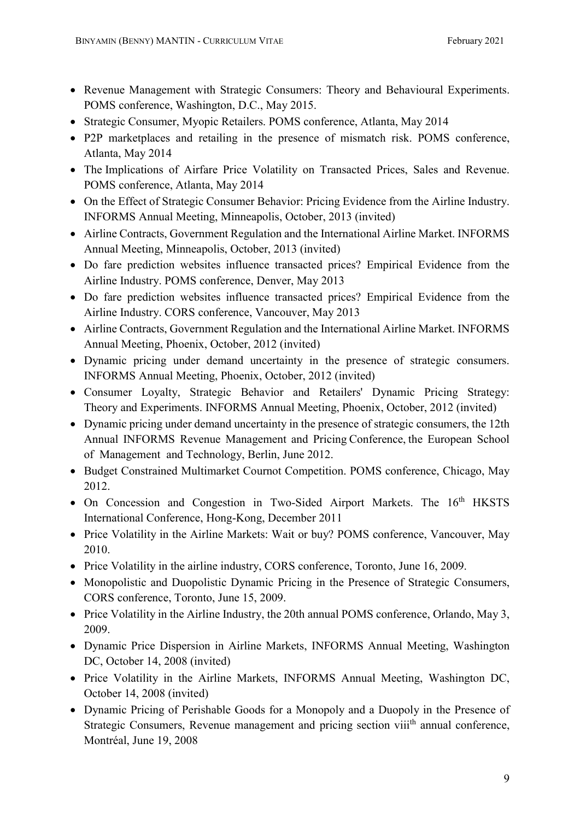- Revenue Management with Strategic Consumers: Theory and Behavioural Experiments. POMS conference, Washington, D.C., May 2015.
- Strategic Consumer, Myopic Retailers. POMS conference, Atlanta, May 2014
- P2P marketplaces and retailing in the presence of mismatch risk. POMS conference, Atlanta, May 2014
- The Implications of Airfare Price Volatility on Transacted Prices, Sales and Revenue. POMS conference, Atlanta, May 2014
- On the Effect of Strategic Consumer Behavior: Pricing Evidence from the Airline Industry. INFORMS Annual Meeting, Minneapolis, October, 2013 (invited)
- Airline Contracts, Government Regulation and the International Airline Market. INFORMS Annual Meeting, Minneapolis, October, 2013 (invited)
- Do fare prediction websites influence transacted prices? Empirical Evidence from the Airline Industry. POMS conference, Denver, May 2013
- Do fare prediction websites influence transacted prices? Empirical Evidence from the Airline Industry. CORS conference, Vancouver, May 2013
- Airline Contracts, Government Regulation and the International Airline Market. INFORMS Annual Meeting, Phoenix, October, 2012 (invited)
- Dynamic pricing under demand uncertainty in the presence of strategic consumers. INFORMS Annual Meeting, Phoenix, October, 2012 (invited)
- Consumer Loyalty, Strategic Behavior and Retailers' Dynamic Pricing Strategy: Theory and Experiments. INFORMS Annual Meeting, Phoenix, October, 2012 (invited)
- Dynamic pricing under demand uncertainty in the presence of strategic consumers, the 12th Annual INFORMS Revenue Management and Pricing Conference, the European School of Management and Technology, Berlin, June 2012.
- Budget Constrained Multimarket Cournot Competition. POMS conference, Chicago, May 2012.
- On Concession and Congestion in Two-Sided Airport Markets. The 16<sup>th</sup> HKSTS International Conference, Hong-Kong, December 2011
- Price Volatility in the Airline Markets: Wait or buy? POMS conference, Vancouver, May 2010.
- Price Volatility in the airline industry, CORS conference, Toronto, June 16, 2009.
- Monopolistic and Duopolistic Dynamic Pricing in the Presence of Strategic Consumers, CORS conference, Toronto, June 15, 2009.
- Price Volatility in the Airline Industry, the 20th annual POMS conference, Orlando, May 3, 2009.
- Dynamic Price Dispersion in Airline Markets, INFORMS Annual Meeting, Washington DC, October 14, 2008 (invited)
- Price Volatility in the Airline Markets, INFORMS Annual Meeting, Washington DC, October 14, 2008 (invited)
- Dynamic Pricing of Perishable Goods for a Monopoly and a Duopoly in the Presence of Strategic Consumers, Revenue management and pricing section viii<sup>th</sup> annual conference, Montréal, June 19, 2008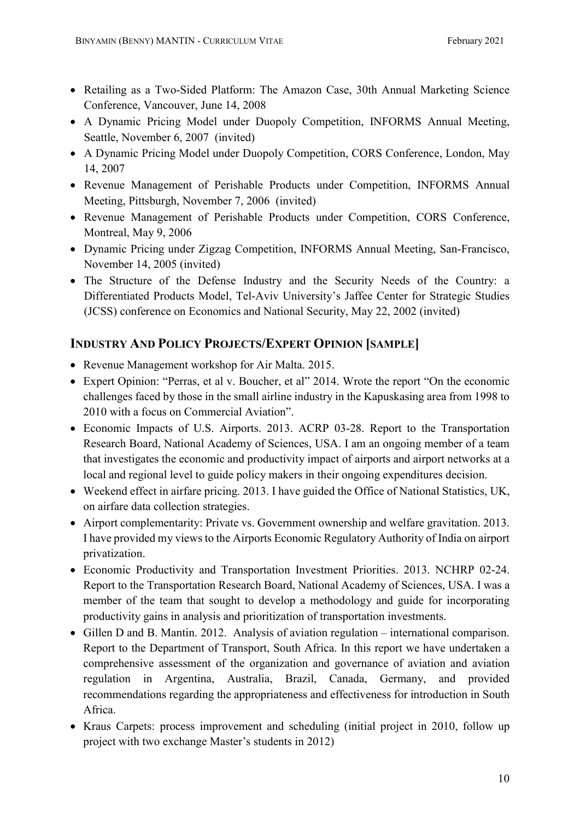- Retailing as a Two-Sided Platform: The Amazon Case, 30th Annual Marketing Science Conference, Vancouver, June 14, 2008
- A Dynamic Pricing Model under Duopoly Competition, INFORMS Annual Meeting, Seattle, November 6, 2007 (invited)
- A Dynamic Pricing Model under Duopoly Competition, CORS Conference, London, May 14, 2007
- Revenue Management of Perishable Products under Competition, INFORMS Annual Meeting, Pittsburgh, November 7, 2006 (invited)
- Revenue Management of Perishable Products under Competition, CORS Conference, Montreal, May 9, 2006
- Dynamic Pricing under Zigzag Competition, INFORMS Annual Meeting, San-Francisco, November 14, 2005 (invited)
- The Structure of the Defense Industry and the Security Needs of the Country: a Differentiated Products Model, Tel-Aviv University's Jaffee Center for Strategic Studies (JCSS) conference on Economics and National Security, May 22, 2002 (invited)

# INDUSTRY AND POLICY PROJECTS/EXPERT OPINION [SAMPLE]

- Revenue Management workshop for Air Malta. 2015.
- Expert Opinion: "Perras, et al v. Boucher, et al" 2014. Wrote the report "On the economic challenges faced by those in the small airline industry in the Kapuskasing area from 1998 to 2010 with a focus on Commercial Aviation".
- Economic Impacts of U.S. Airports. 2013. ACRP 03-28. Report to the Transportation Research Board, National Academy of Sciences, USA. I am an ongoing member of a team that investigates the economic and productivity impact of airports and airport networks at a local and regional level to guide policy makers in their ongoing expenditures decision.
- Weekend effect in airfare pricing. 2013. I have guided the Office of National Statistics, UK, on airfare data collection strategies.
- Airport complementarity: Private vs. Government ownership and welfare gravitation. 2013. I have provided my views to the Airports Economic Regulatory Authority of India on airport privatization.
- Economic Productivity and Transportation Investment Priorities. 2013. NCHRP 02-24. Report to the Transportation Research Board, National Academy of Sciences, USA. I was a member of the team that sought to develop a methodology and guide for incorporating productivity gains in analysis and prioritization of transportation investments.
- Gillen D and B. Mantin. 2012. Analysis of aviation regulation international comparison. Report to the Department of Transport, South Africa. In this report we have undertaken a comprehensive assessment of the organization and governance of aviation and aviation regulation in Argentina, Australia, Brazil, Canada, Germany, and provided recommendations regarding the appropriateness and effectiveness for introduction in South Africa.
- Kraus Carpets: process improvement and scheduling (initial project in 2010, follow up project with two exchange Master's students in 2012)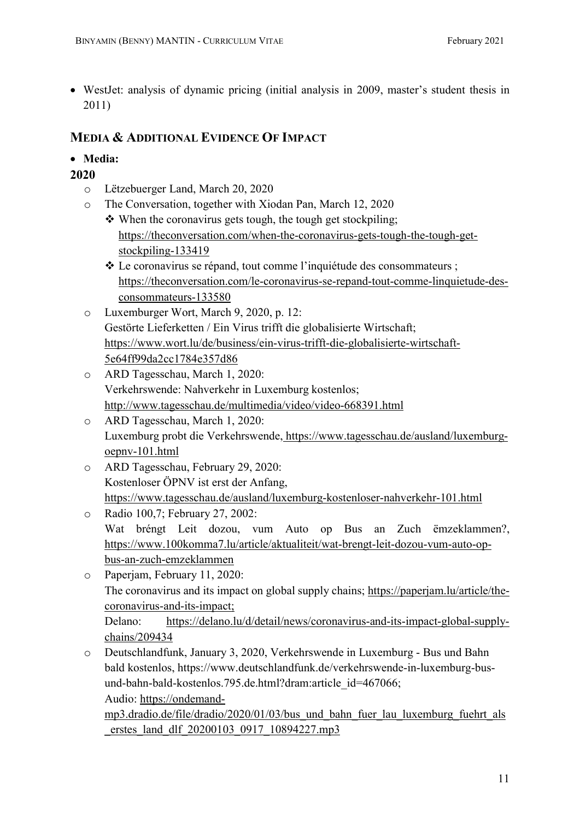WestJet: analysis of dynamic pricing (initial analysis in 2009, master's student thesis in 2011)

# MEDIA & ADDITIONAL EVIDENCE OF IMPACT

- Media:
- 2020
	- o Lëtzebuerger Land, March 20, 2020
	- o The Conversation, together with Xiodan Pan, March 12, 2020
		- $\triangle$  When the coronavirus gets tough, the tough get stockpiling; https://theconversation.com/when-the-coronavirus-gets-tough-the-tough-getstockpiling-133419
		- Le coronavirus se répand, tout comme l'inquiétude des consommateurs ; https://theconversation.com/le-coronavirus-se-repand-tout-comme-linquietude-desconsommateurs-133580
	- o Luxemburger Wort, March 9, 2020, p. 12: Gestörte Lieferketten / Ein Virus trifft die globalisierte Wirtschaft; https://www.wort.lu/de/business/ein-virus-trifft-die-globalisierte-wirtschaft-5e64ff99da2cc1784e357d86
	- o ARD Tagesschau, March 1, 2020: Verkehrswende: Nahverkehr in Luxemburg kostenlos; http://www.tagesschau.de/multimedia/video/video-668391.html
	- o ARD Tagesschau, March 1, 2020: Luxemburg probt die Verkehrswende, https://www.tagesschau.de/ausland/luxemburgoepnv-101.html
	- o ARD Tagesschau, February 29, 2020: Kostenloser ÖPNV ist erst der Anfang, https://www.tagesschau.de/ausland/luxemburg-kostenloser-nahverkehr-101.html
	- o Radio 100,7; February 27, 2002: Wat bréngt Leit dozou, vum Auto op Bus an Zuch ëmzeklammen?, https://www.100komma7.lu/article/aktualiteit/wat-brengt-leit-dozou-vum-auto-opbus-an-zuch-emzeklammen
	- o Paperjam, February 11, 2020: The coronavirus and its impact on global supply chains; https://paperjam.lu/article/thecoronavirus-and-its-impact; Delano: https://delano.lu/d/detail/news/coronavirus-and-its-impact-global-supplychains/209434
	- o Deutschlandfunk, January 3, 2020, Verkehrswende in Luxemburg Bus und Bahn bald kostenlos, https://www.deutschlandfunk.de/verkehrswende-in-luxemburg-busund-bahn-bald-kostenlos.795.de.html?dram:article\_id=467066; Audio: https://ondemand-

mp3.dradio.de/file/dradio/2020/01/03/bus und bahn fuer lau luxemburg fuehrt als erstes land dlf 20200103 0917 10894227.mp3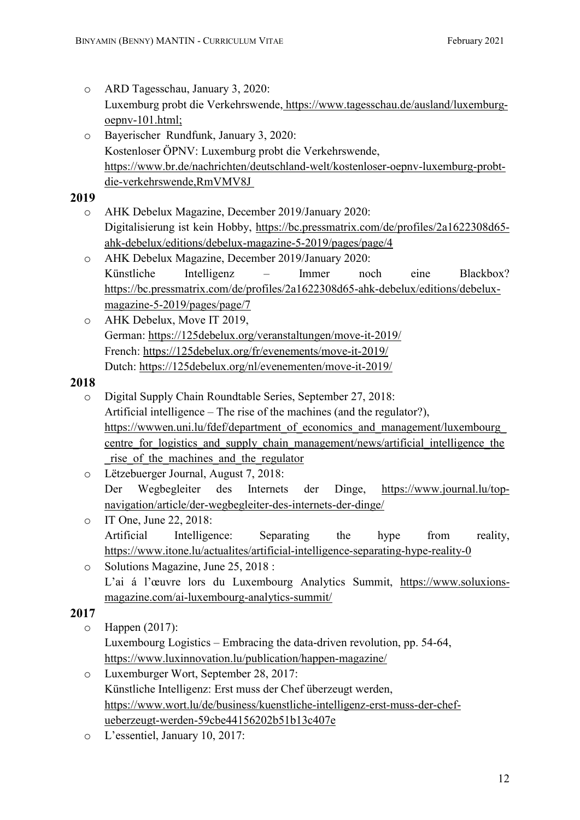- o ARD Tagesschau, January 3, 2020: Luxemburg probt die Verkehrswende, https://www.tagesschau.de/ausland/luxemburgoepnv-101.html; o Bayerischer Rundfunk, January 3, 2020: Kostenloser ÖPNV: Luxemburg probt die Verkehrswende, https://www.br.de/nachrichten/deutschland-welt/kostenloser-oepnv-luxemburg-probtdie-verkehrswende,RmVMV8J 2019 o AHK Debelux Magazine, December 2019/January 2020: Digitalisierung ist kein Hobby, https://bc.pressmatrix.com/de/profiles/2a1622308d65 ahk-debelux/editions/debelux-magazine-5-2019/pages/page/4 o AHK Debelux Magazine, December 2019/January 2020: Künstliche Intelligenz – Immer noch eine Blackbox? https://bc.pressmatrix.com/de/profiles/2a1622308d65-ahk-debelux/editions/debeluxmagazine-5-2019/pages/page/7 o AHK Debelux, Move IT 2019, German: https://125debelux.org/veranstaltungen/move-it-2019/ French: https://125debelux.org/fr/evenements/move-it-2019/ Dutch: https://125debelux.org/nl/evenementen/move-it-2019/ 2018 o Digital Supply Chain Roundtable Series, September 27, 2018: Artificial intelligence – The rise of the machines (and the regulator?), https://wwwen.uni.lu/fdef/department\_of\_economics\_and\_management/luxembourg centre for logistics and supply chain management/news/artificial intelligence the rise of the machines and the regulator o Lëtzebuerger Journal, August 7, 2018: Der Wegbegleiter des Internets der Dinge, https://www.journal.lu/topnavigation/article/der-wegbegleiter-des-internets-der-dinge/ o IT One, June 22, 2018: Artificial Intelligence: Separating the hype from reality, https://www.itone.lu/actualites/artificial-intelligence-separating-hype-reality-0 o Solutions Magazine, June 25, 2018 : L'ai á l'œuvre lors du Luxembourg Analytics Summit, https://www.soluxionsmagazine.com/ai-luxembourg-analytics-summit/ 2017 o Happen (2017): Luxembourg Logistics – Embracing the data-driven revolution, pp. 54-64, https://www.luxinnovation.lu/publication/happen-magazine/ o Luxemburger Wort, September 28, 2017: Künstliche Intelligenz: Erst muss der Chef überzeugt werden,
	- https://www.wort.lu/de/business/kuenstliche-intelligenz-erst-muss-der-chefueberzeugt-werden-59cbe44156202b51b13c407e
	- o L'essentiel, January 10, 2017: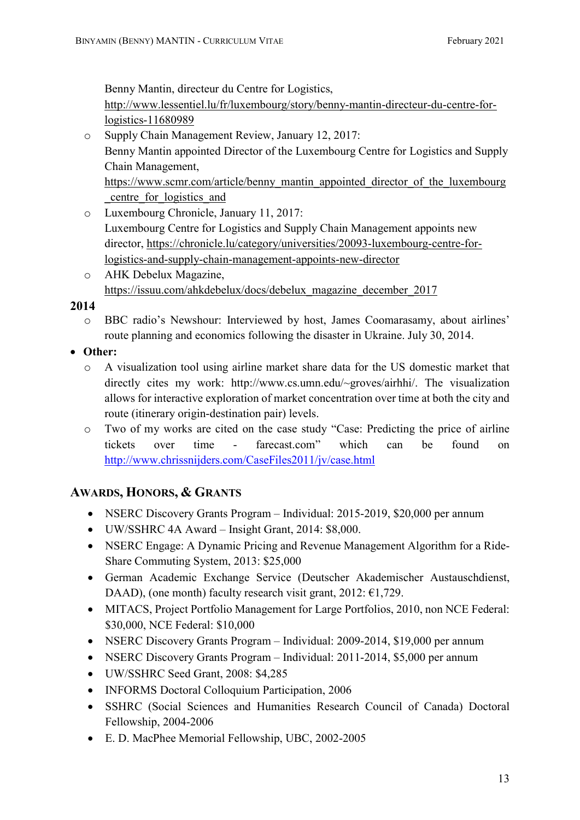Benny Mantin, directeur du Centre for Logistics,

http://www.lessentiel.lu/fr/luxembourg/story/benny-mantin-directeur-du-centre-forlogistics-11680989

- o Supply Chain Management Review, January 12, 2017: Benny Mantin appointed Director of the Luxembourg Centre for Logistics and Supply Chain Management, https://www.scmr.com/article/benny\_mantin\_appointed\_director\_of\_the\_luxembourg \_centre\_for\_logistics\_and
- o Luxembourg Chronicle, January 11, 2017: Luxembourg Centre for Logistics and Supply Chain Management appoints new director, https://chronicle.lu/category/universities/20093-luxembourg-centre-forlogistics-and-supply-chain-management-appoints-new-director
- o AHK Debelux Magazine, https://issuu.com/ahkdebelux/docs/debelux\_magazine\_december\_2017

#### 2014

- o BBC radio's Newshour: Interviewed by host, James Coomarasamy, about airlines' route planning and economics following the disaster in Ukraine. July 30, 2014.
- Other:
	- o A visualization tool using airline market share data for the US domestic market that directly cites my work: http://www.cs.umn.edu/~groves/airhhi/. The visualization allows for interactive exploration of market concentration over time at both the city and route (itinerary origin-destination pair) levels.
	- o Two of my works are cited on the case study "Case: Predicting the price of airline tickets over time - farecast.com" which can be found on http://www.chrissnijders.com/CaseFiles2011/jv/case.html

# AWARDS, HONORS, & GRANTS

- NSERC Discovery Grants Program Individual: 2015-2019, \$20,000 per annum
- UW/SSHRC 4A Award Insight Grant, 2014: \$8,000.
- NSERC Engage: A Dynamic Pricing and Revenue Management Algorithm for a Ride-Share Commuting System, 2013: \$25,000
- German Academic Exchange Service (Deutscher Akademischer Austauschdienst, DAAD), (one month) faculty research visit grant, 2012:  $\epsilon$ 1,729.
- MITACS, Project Portfolio Management for Large Portfolios, 2010, non NCE Federal: \$30,000, NCE Federal: \$10,000
- NSERC Discovery Grants Program Individual: 2009-2014, \$19,000 per annum
- NSERC Discovery Grants Program Individual: 2011-2014, \$5,000 per annum
- UW/SSHRC Seed Grant, 2008: \$4,285
- INFORMS Doctoral Colloquium Participation, 2006
- SSHRC (Social Sciences and Humanities Research Council of Canada) Doctoral Fellowship, 2004-2006
- E. D. MacPhee Memorial Fellowship, UBC, 2002-2005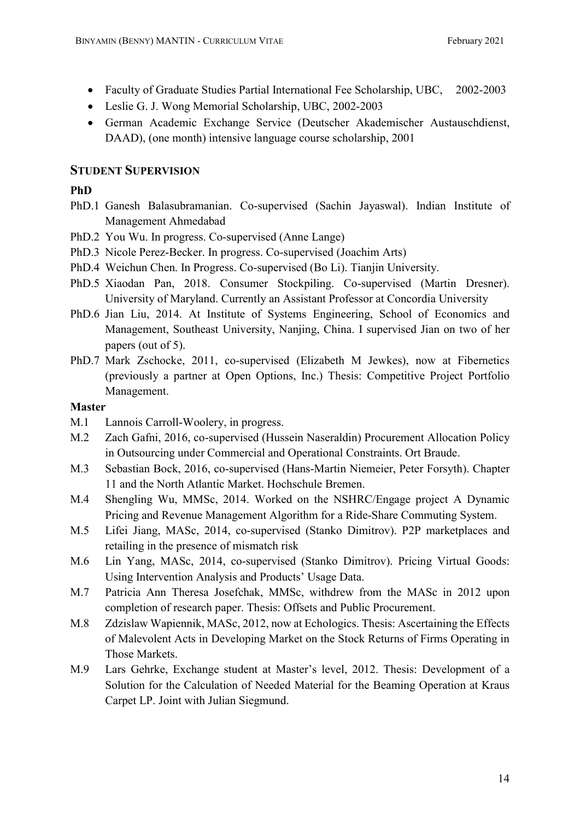- Faculty of Graduate Studies Partial International Fee Scholarship, UBC, 2002-2003
- Leslie G. J. Wong Memorial Scholarship, UBC, 2002-2003
- German Academic Exchange Service (Deutscher Akademischer Austauschdienst, DAAD), (one month) intensive language course scholarship, 2001

# STUDENT SUPERVISION

#### PhD

- PhD.1 Ganesh Balasubramanian. Co-supervised (Sachin Jayaswal). Indian Institute of Management Ahmedabad
- PhD.2 You Wu. In progress. Co-supervised (Anne Lange)
- PhD.3 Nicole Perez-Becker. In progress. Co-supervised (Joachim Arts)
- PhD.4 Weichun Chen. In Progress. Co-supervised (Bo Li). Tianjin University.
- PhD.5 Xiaodan Pan, 2018. Consumer Stockpiling. Co-supervised (Martin Dresner). University of Maryland. Currently an Assistant Professor at Concordia University
- PhD.6 Jian Liu, 2014. At Institute of Systems Engineering, School of Economics and Management, Southeast University, Nanjing, China. I supervised Jian on two of her papers (out of 5).
- PhD.7 Mark Zschocke, 2011, co-supervised (Elizabeth M Jewkes), now at Fibernetics (previously a partner at Open Options, Inc.) Thesis: Competitive Project Portfolio Management.

#### Master

- M.1 Lannois Carroll-Woolery, in progress.
- M.2 Zach Gafni, 2016, co-supervised (Hussein Naseraldin) Procurement Allocation Policy in Outsourcing under Commercial and Operational Constraints. Ort Braude.
- M.3 Sebastian Bock, 2016, co-supervised (Hans-Martin Niemeier, Peter Forsyth). Chapter 11 and the North Atlantic Market. Hochschule Bremen.
- M.4 Shengling Wu, MMSc, 2014. Worked on the NSHRC/Engage project A Dynamic Pricing and Revenue Management Algorithm for a Ride-Share Commuting System.
- M.5 Lifei Jiang, MASc, 2014, co-supervised (Stanko Dimitrov). P2P marketplaces and retailing in the presence of mismatch risk
- M.6 Lin Yang, MASc, 2014, co-supervised (Stanko Dimitrov). Pricing Virtual Goods: Using Intervention Analysis and Products' Usage Data.
- M.7 Patricia Ann Theresa Josefchak, MMSc, withdrew from the MASc in 2012 upon completion of research paper. Thesis: Offsets and Public Procurement.
- M.8 Zdzislaw Wapiennik, MASc, 2012, now at Echologics. Thesis: Ascertaining the Effects of Malevolent Acts in Developing Market on the Stock Returns of Firms Operating in Those Markets.
- M.9 Lars Gehrke, Exchange student at Master's level, 2012. Thesis: Development of a Solution for the Calculation of Needed Material for the Beaming Operation at Kraus Carpet LP. Joint with Julian Siegmund.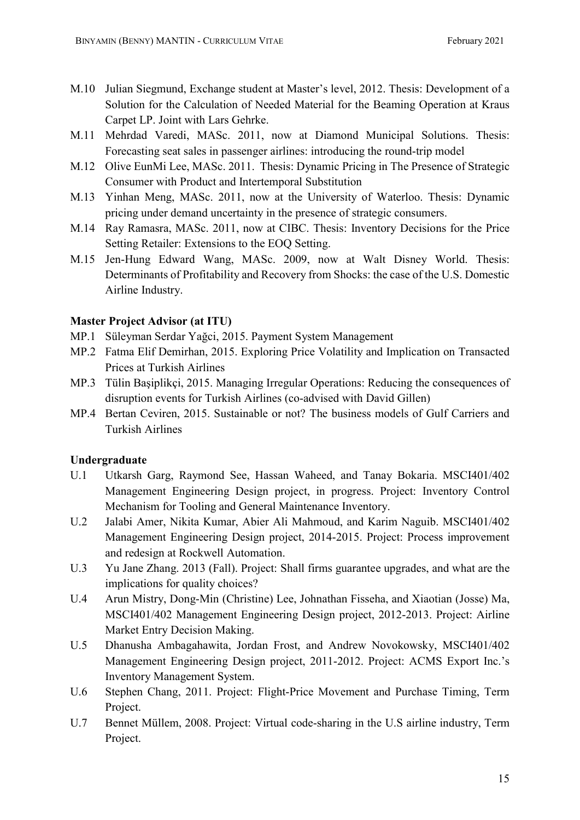- M.10 Julian Siegmund, Exchange student at Master's level, 2012. Thesis: Development of a Solution for the Calculation of Needed Material for the Beaming Operation at Kraus Carpet LP. Joint with Lars Gehrke.
- M.11 Mehrdad Varedi, MASc. 2011, now at Diamond Municipal Solutions. Thesis: Forecasting seat sales in passenger airlines: introducing the round-trip model
- M.12 Olive EunMi Lee, MASc. 2011. Thesis: Dynamic Pricing in The Presence of Strategic Consumer with Product and Intertemporal Substitution
- M.13 Yinhan Meng, MASc. 2011, now at the University of Waterloo. Thesis: Dynamic pricing under demand uncertainty in the presence of strategic consumers.
- M.14 Ray Ramasra, MASc. 2011, now at CIBC. Thesis: Inventory Decisions for the Price Setting Retailer: Extensions to the EOQ Setting.
- M.15 Jen-Hung Edward Wang, MASc. 2009, now at Walt Disney World. Thesis: Determinants of Profitability and Recovery from Shocks: the case of the U.S. Domestic Airline Industry.

# Master Project Advisor (at ITU)

- MP.1 Süleyman Serdar Yağci, 2015. Payment System Management
- MP.2 Fatma Elif Demirhan, 2015. Exploring Price Volatility and Implication on Transacted Prices at Turkish Airlines
- MP.3 Tülin Başiplikçi, 2015. Managing Irregular Operations: Reducing the consequences of disruption events for Turkish Airlines (co-advised with David Gillen)
- MP.4 Bertan Ceviren, 2015. Sustainable or not? The business models of Gulf Carriers and Turkish Airlines

# Undergraduate

- U.1 Utkarsh Garg, Raymond See, Hassan Waheed, and Tanay Bokaria. MSCI401/402 Management Engineering Design project, in progress. Project: Inventory Control Mechanism for Tooling and General Maintenance Inventory.
- U.2 Jalabi Amer, Nikita Kumar, Abier Ali Mahmoud, and Karim Naguib. MSCI401/402 Management Engineering Design project, 2014-2015. Project: Process improvement and redesign at Rockwell Automation.
- U.3 Yu Jane Zhang. 2013 (Fall). Project: Shall firms guarantee upgrades, and what are the implications for quality choices?
- U.4 Arun Mistry, Dong-Min (Christine) Lee, Johnathan Fisseha, and Xiaotian (Josse) Ma, MSCI401/402 Management Engineering Design project, 2012-2013. Project: Airline Market Entry Decision Making.
- U.5 Dhanusha Ambagahawita, Jordan Frost, and Andrew Novokowsky, MSCI401/402 Management Engineering Design project, 2011-2012. Project: ACMS Export Inc.'s Inventory Management System.
- U.6 Stephen Chang, 2011. Project: Flight-Price Movement and Purchase Timing, Term Project.
- U.7 Bennet Müllem, 2008. Project: Virtual code-sharing in the U.S airline industry, Term Project.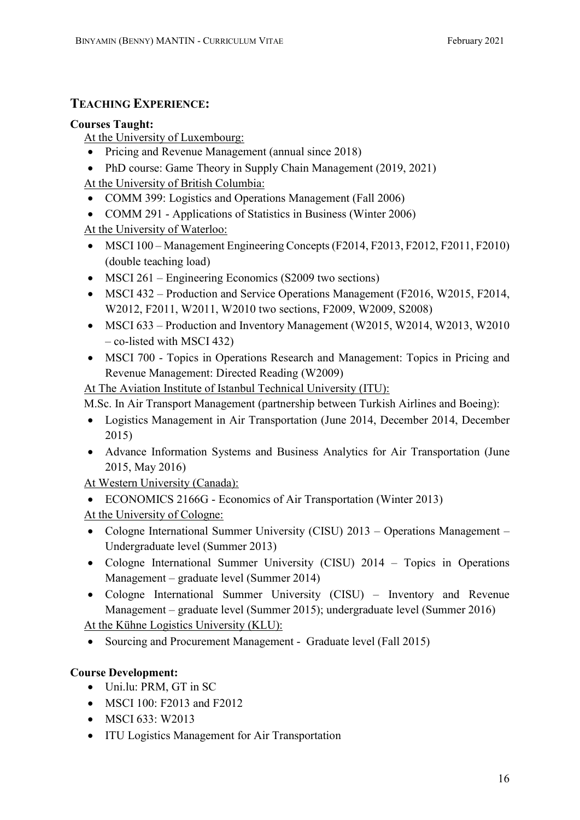# TEACHING EXPERIENCE:

#### Courses Taught:

At the University of Luxembourg:

- Pricing and Revenue Management (annual since 2018)
- PhD course: Game Theory in Supply Chain Management (2019, 2021)

At the University of British Columbia:

- COMM 399: Logistics and Operations Management (Fall 2006)
- COMM 291 Applications of Statistics in Business (Winter 2006) At the University of Waterloo:
- MSCI 100 Management Engineering Concepts (F2014, F2013, F2012, F2011, F2010) (double teaching load)
- MSCI 261 Engineering Economics (S2009 two sections)
- MSCI 432 Production and Service Operations Management (F2016, W2015, F2014, W2012, F2011, W2011, W2010 two sections, F2009, W2009, S2008)
- MSCI 633 Production and Inventory Management (W2015, W2014, W2013, W2010) – co-listed with MSCI 432)
- MSCI 700 Topics in Operations Research and Management: Topics in Pricing and Revenue Management: Directed Reading (W2009)

At The Aviation Institute of Istanbul Technical University (ITU):

M.Sc. In Air Transport Management (partnership between Turkish Airlines and Boeing):

- Logistics Management in Air Transportation (June 2014, December 2014, December 2015)
- Advance Information Systems and Business Analytics for Air Transportation (June 2015, May 2016)

At Western University (Canada):

- ECONOMICS 2166G Economics of Air Transportation (Winter 2013)
- At the University of Cologne:
- Cologne International Summer University (CISU) 2013 Operations Management Undergraduate level (Summer 2013)
- Cologne International Summer University (CISU) 2014 Topics in Operations Management – graduate level (Summer 2014)
- Cologne International Summer University (CISU) Inventory and Revenue Management – graduate level (Summer 2015); undergraduate level (Summer 2016)

At the Kühne Logistics University (KLU):

• Sourcing and Procurement Management - Graduate level (Fall 2015)

# Course Development:

- Uni.lu: PRM, GT in SC
- MSCI 100: F2013 and F2012
- $\bullet$  MSCI 633: W2013
- ITU Logistics Management for Air Transportation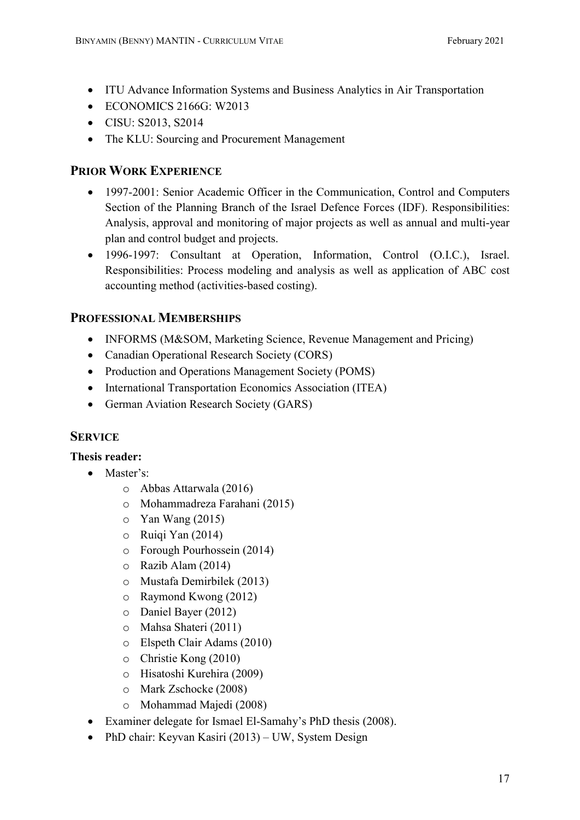- ITU Advance Information Systems and Business Analytics in Air Transportation
- $\bullet$  ECONOMICS 2166G: W2013
- CISU: S2013, S2014
- The KLU: Sourcing and Procurement Management

# PRIOR WORK EXPERIENCE

- 1997-2001: Senior Academic Officer in the Communication, Control and Computers Section of the Planning Branch of the Israel Defence Forces (IDF). Responsibilities: Analysis, approval and monitoring of major projects as well as annual and multi-year plan and control budget and projects.
- 1996-1997: Consultant at Operation, Information, Control (O.I.C.), Israel. Responsibilities: Process modeling and analysis as well as application of ABC cost accounting method (activities-based costing).

# PROFESSIONAL MEMBERSHIPS

- INFORMS (M&SOM, Marketing Science, Revenue Management and Pricing)
- Canadian Operational Research Society (CORS)
- Production and Operations Management Society (POMS)
- International Transportation Economics Association (ITEA)
- German Aviation Research Society (GARS)

# **SERVICE**

# Thesis reader:

- Master's:
	- o Abbas Attarwala (2016)
	- o Mohammadreza Farahani (2015)
	- $\circ$  Yan Wang (2015)
	- o Ruiqi Yan (2014)
	- o Forough Pourhossein (2014)
	- o Razib Alam (2014)
	- o Mustafa Demirbilek (2013)
	- o Raymond Kwong (2012)
	- o Daniel Bayer (2012)
	- o Mahsa Shateri (2011)
	- o Elspeth Clair Adams (2010)
	- o Christie Kong (2010)
	- o Hisatoshi Kurehira (2009)
	- o Mark Zschocke (2008)
	- o Mohammad Majedi (2008)
- Examiner delegate for Ismael El-Samahy's PhD thesis (2008).
- PhD chair: Keyvan Kasiri (2013) UW, System Design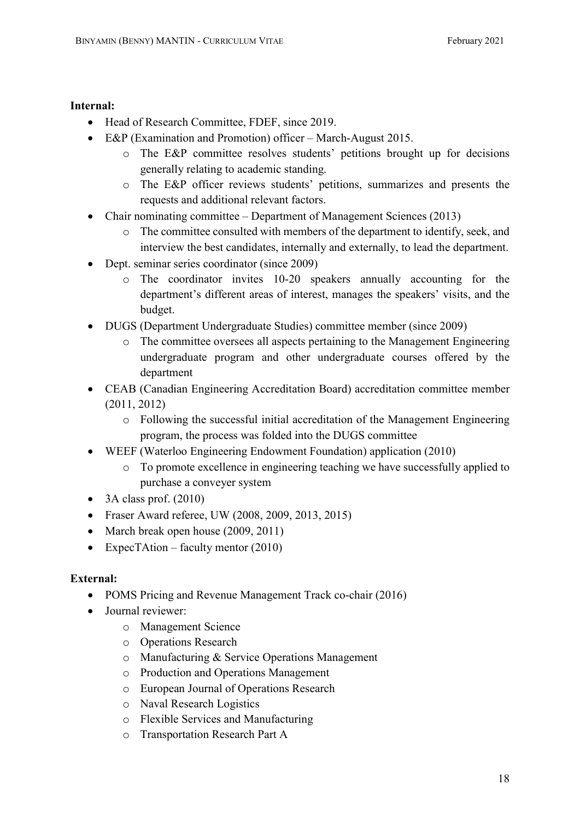#### Internal:

- Head of Research Committee, FDEF, since 2019.
- E&P (Examination and Promotion) officer March-August 2015.
	- o The E&P committee resolves students' petitions brought up for decisions generally relating to academic standing.
	- o The E&P officer reviews students' petitions, summarizes and presents the requests and additional relevant factors.
- Chair nominating committee Department of Management Sciences (2013)
	- o The committee consulted with members of the department to identify, seek, and interview the best candidates, internally and externally, to lead the department.
- Dept. seminar series coordinator (since 2009)
	- o The coordinator invites 10-20 speakers annually accounting for the department's different areas of interest, manages the speakers' visits, and the budget.
- DUGS (Department Undergraduate Studies) committee member (since 2009)
	- o The committee oversees all aspects pertaining to the Management Engineering undergraduate program and other undergraduate courses offered by the department
- CEAB (Canadian Engineering Accreditation Board) accreditation committee member (2011, 2012)
	- o Following the successful initial accreditation of the Management Engineering program, the process was folded into the DUGS committee
- WEEF (Waterloo Engineering Endowment Foundation) application (2010)
	- o To promote excellence in engineering teaching we have successfully applied to purchase a conveyer system
- $\bullet$  3A class prof. (2010)
- Fraser Award referee, UW (2008, 2009, 2013, 2015)
- March break open house (2009, 2011)
- ExpecTAtion faculty mentor  $(2010)$

# External:

- POMS Pricing and Revenue Management Track co-chair (2016)
- Journal reviewer:
	- o Management Science
	- o Operations Research
	- o Manufacturing & Service Operations Management
	- o Production and Operations Management
	- o European Journal of Operations Research
	- o Naval Research Logistics
	- o Flexible Services and Manufacturing
	- o Transportation Research Part A